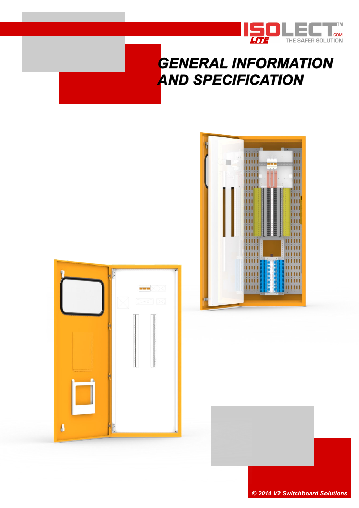

# **GENERAL INFORMATION AND SPECIFICATION**





*© 2014 V2 Switchboard Solutions*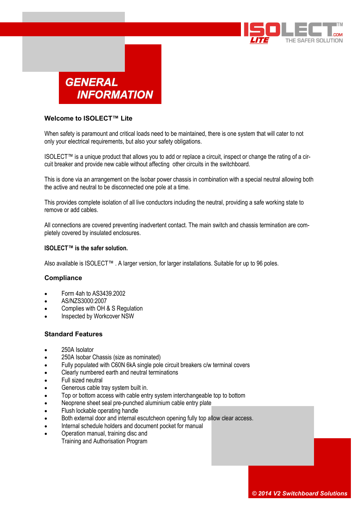



## **Welcome to ISOLECT™ Lite**

When safety is paramount and critical loads need to be maintained, there is one system that will cater to not only your electrical requirements, but also your safety obligations.

ISOLECT™ is a unique product that allows you to add or replace a circuit, inspect or change the rating of a circuit breaker and provide new cable without affecting other circuits in the switchboard.

This is done via an arrangement on the Isobar power chassis in combination with a special neutral allowing both the active and neutral to be disconnected one pole at a time.

This provides complete isolation of all live conductors including the neutral, providing a safe working state to remove or add cables.

All connections are covered preventing inadvertent contact. The main switch and chassis termination are completely covered by insulated enclosures.

### **ISOLECT™ is the safer solution.**

Also available is ISOLECT™ . A larger version, for larger installations. Suitable for up to 96 poles.

#### **Compliance**

- Form 4ah to AS3439.2002
- AS/NZS3000:2007
- Complies with OH & S Regulation
- Inspected by Workcover NSW

### **Standard Features**

- 250A Isolator
- 250A Isobar Chassis (size as nominated)
- Fully populated with C60N 6kA single pole circuit breakers c/w terminal covers
- Clearly numbered earth and neutral terminations
- Full sized neutral
- Generous cable tray system built in.
- Top or bottom access with cable entry system interchangeable top to bottom
- Neoprene sheet seal pre-punched aluminium cable entry plate
- Flush lockable operating handle
- Both external door and internal escutcheon opening fully top allow clear access.
- Internal schedule holders and document pocket for manual
- Operation manual, training disc and
	- Training and Authorisation Program